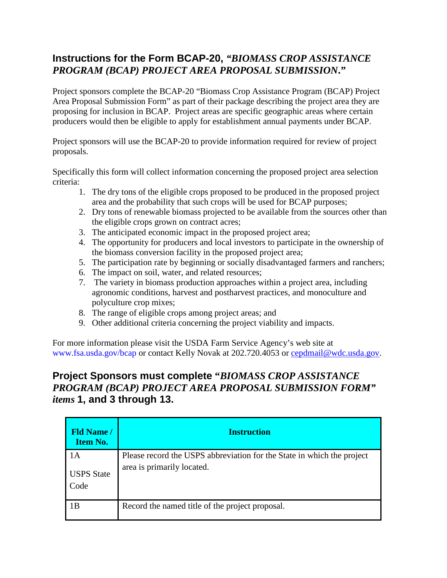## **Instructions for the Form BCAP-20,** *"BIOMASS CROP ASSISTANCE PROGRAM (BCAP) PROJECT AREA PROPOSAL SUBMISSION***."**

Project sponsors complete the BCAP-20 "Biomass Crop Assistance Program (BCAP) Project Area Proposal Submission Form" as part of their package describing the project area they are proposing for inclusion in BCAP. Project areas are specific geographic areas where certain producers would then be eligible to apply for establishment annual payments under BCAP.

Project sponsors will use the BCAP-20 to provide information required for review of project proposals.

Specifically this form will collect information concerning the proposed project area selection criteria:

- 1. The dry tons of the eligible crops proposed to be produced in the proposed project area and the probability that such crops will be used for BCAP purposes;
- 2. Dry tons of renewable biomass projected to be available from the sources other than the eligible crops grown on contract acres;
- 3. The anticipated economic impact in the proposed project area;
- 4. The opportunity for producers and local investors to participate in the ownership of the biomass conversion facility in the proposed project area;
- 5. The participation rate by beginning or socially disadvantaged farmers and ranchers;
- 6. The impact on soil, water, and related resources;
- 7. The variety in biomass production approaches within a project area, including agronomic conditions, harvest and postharvest practices, and monoculture and polyculture crop mixes;
- 8. The range of eligible crops among project areas; and
- 9. Other additional criteria concerning the project viability and impacts.

For more information please visit the USDA Farm Service Agency's web site at www.fsa.usda.gov/bcap or contact Kelly Novak at 202.720.4053 or [cepdmail@wdc.usda.gov.](mailto:cepdmail@wdc.usda.gov)

## **Project Sponsors must complete "***BIOMASS CROP ASSISTANCE PROGRAM (BCAP) PROJECT AREA PROPOSAL SUBMISSION FORM" items* **1, and 3 through 13.**

| <b>Fld Name /</b><br><b>Item No.</b> | <b>Instruction</b>                                                                                   |
|--------------------------------------|------------------------------------------------------------------------------------------------------|
| 1A<br><b>USPS</b> State<br>Code      | Please record the USPS abbreviation for the State in which the project<br>area is primarily located. |
| 1B                                   | Record the named title of the project proposal.                                                      |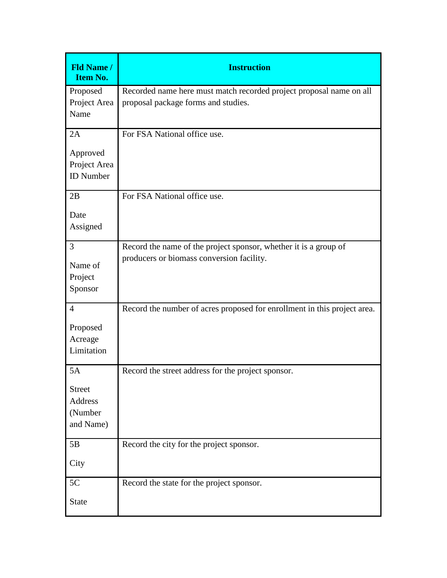| <b>Fld Name /</b><br><b>Item No.</b>                          | <b>Instruction</b>                                                                                            |
|---------------------------------------------------------------|---------------------------------------------------------------------------------------------------------------|
| Proposed<br>Project Area<br>Name                              | Recorded name here must match recorded project proposal name on all<br>proposal package forms and studies.    |
| 2A<br>Approved<br>Project Area<br><b>ID</b> Number            | For FSA National office use.                                                                                  |
| 2B<br>Date<br>Assigned                                        | For FSA National office use.                                                                                  |
| 3<br>Name of<br>Project<br>Sponsor                            | Record the name of the project sponsor, whether it is a group of<br>producers or biomass conversion facility. |
| $\overline{4}$<br>Proposed<br>Acreage<br>Limitation           | Record the number of acres proposed for enrollment in this project area.                                      |
| 5A<br><b>Street</b><br><b>Address</b><br>(Number<br>and Name) | Record the street address for the project sponsor.                                                            |
| 5B<br>City                                                    | Record the city for the project sponsor.                                                                      |
| 5C<br><b>State</b>                                            | Record the state for the project sponsor.                                                                     |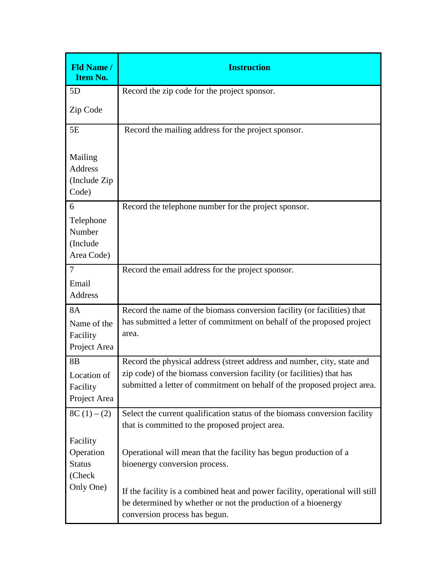| <b>Fld Name /</b><br><b>Item No.</b>                      | <b>Instruction</b>                                                                                                                                                                                                           |
|-----------------------------------------------------------|------------------------------------------------------------------------------------------------------------------------------------------------------------------------------------------------------------------------------|
| 5D                                                        | Record the zip code for the project sponsor.                                                                                                                                                                                 |
| Zip Code                                                  |                                                                                                                                                                                                                              |
| 5E                                                        | Record the mailing address for the project sponsor.                                                                                                                                                                          |
| Mailing<br><b>Address</b><br>(Include Zip)<br>Code)       |                                                                                                                                                                                                                              |
| 6<br>Telephone<br>Number<br>(Include<br>Area Code)        | Record the telephone number for the project sponsor.                                                                                                                                                                         |
| $\overline{7}$<br>Email<br>Address                        | Record the email address for the project sponsor.                                                                                                                                                                            |
| <b>8A</b><br>Name of the<br>Facility<br>Project Area      | Record the name of the biomass conversion facility (or facilities) that<br>has submitted a letter of commitment on behalf of the proposed project<br>area.                                                                   |
| 8 <sub>B</sub><br>Location of<br>Facility<br>Project Area | Record the physical address (street address and number, city, state and<br>zip code) of the biomass conversion facility (or facilities) that has<br>submitted a letter of commitment on behalf of the proposed project area. |
| $8C(1) - (2)$                                             | Select the current qualification status of the biomass conversion facility<br>that is committed to the proposed project area.                                                                                                |
| Facility<br>Operation<br><b>Status</b><br>(Check          | Operational will mean that the facility has begun production of a<br>bioenergy conversion process.                                                                                                                           |
| Only One)                                                 | If the facility is a combined heat and power facility, operational will still<br>be determined by whether or not the production of a bioenergy<br>conversion process has begun.                                              |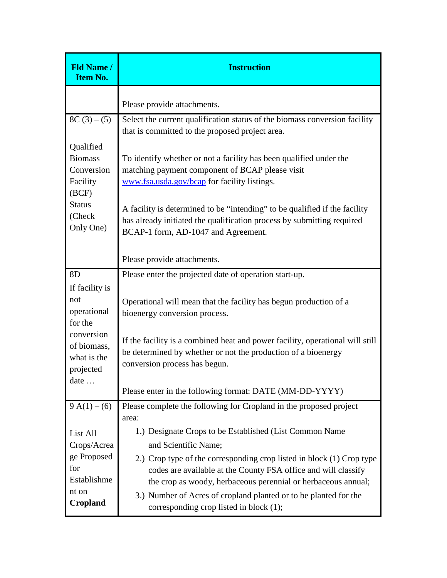| <b>Fld Name /</b><br><b>Item No.</b>                                                                                   | <b>Instruction</b>                                                                                                                                                                                                                                                                                                                                                                                         |
|------------------------------------------------------------------------------------------------------------------------|------------------------------------------------------------------------------------------------------------------------------------------------------------------------------------------------------------------------------------------------------------------------------------------------------------------------------------------------------------------------------------------------------------|
|                                                                                                                        | Please provide attachments.                                                                                                                                                                                                                                                                                                                                                                                |
| $8C(3) - (5)$                                                                                                          | Select the current qualification status of the biomass conversion facility<br>that is committed to the proposed project area.                                                                                                                                                                                                                                                                              |
| Qualified<br><b>Biomass</b><br>Conversion<br>Facility<br>(BCF)<br><b>Status</b><br>(Check<br>Only One)                 | To identify whether or not a facility has been qualified under the<br>matching payment component of BCAP please visit<br>www.fsa.usda.gov/bcap for facility listings.<br>A facility is determined to be "intending" to be qualified if the facility<br>has already initiated the qualification process by submitting required<br>BCAP-1 form, AD-1047 and Agreement.                                       |
|                                                                                                                        | Please provide attachments.                                                                                                                                                                                                                                                                                                                                                                                |
| 8D<br>If facility is<br>not<br>operational<br>for the<br>conversion<br>of biomass,<br>what is the<br>projected<br>date | Please enter the projected date of operation start-up.<br>Operational will mean that the facility has begun production of a<br>bioenergy conversion process.<br>If the facility is a combined heat and power facility, operational will still<br>be determined by whether or not the production of a bioenergy<br>conversion process has begun.<br>Please enter in the following format: DATE (MM-DD-YYYY) |
| $9 A(1) - (6)$                                                                                                         | Please complete the following for Cropland in the proposed project<br>area:                                                                                                                                                                                                                                                                                                                                |
| List All<br>Crops/Acrea<br>ge Proposed<br>for<br>Establishme<br>nt on<br>Cropland                                      | 1.) Designate Crops to be Established (List Common Name<br>and Scientific Name;<br>2.) Crop type of the corresponding crop listed in block (1) Crop type<br>codes are available at the County FSA office and will classify<br>the crop as woody, herbaceous perennial or herbaceous annual;<br>3.) Number of Acres of cropland planted or to be planted for the<br>corresponding crop listed in block (1); |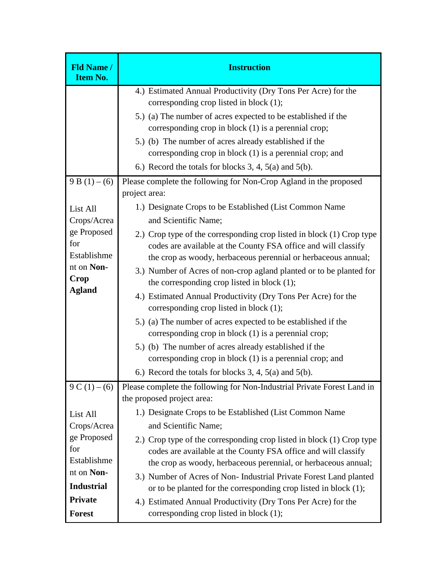| <b>Fld Name /</b><br><b>Item No.</b>                                                                                 | <b>Instruction</b>                                                                                                                                                                                                                                                                                                                                                                                                                                                                                                                                                                                                                                                                                                                                                                                                                                                                                                                    |
|----------------------------------------------------------------------------------------------------------------------|---------------------------------------------------------------------------------------------------------------------------------------------------------------------------------------------------------------------------------------------------------------------------------------------------------------------------------------------------------------------------------------------------------------------------------------------------------------------------------------------------------------------------------------------------------------------------------------------------------------------------------------------------------------------------------------------------------------------------------------------------------------------------------------------------------------------------------------------------------------------------------------------------------------------------------------|
|                                                                                                                      | 4.) Estimated Annual Productivity (Dry Tons Per Acre) for the<br>corresponding crop listed in block (1);<br>5.) (a) The number of acres expected to be established if the<br>corresponding crop in block (1) is a perennial crop;<br>5.) (b) The number of acres already established if the                                                                                                                                                                                                                                                                                                                                                                                                                                                                                                                                                                                                                                           |
|                                                                                                                      | corresponding crop in block (1) is a perennial crop; and<br>6.) Record the totals for blocks 3, 4, 5(a) and 5(b).                                                                                                                                                                                                                                                                                                                                                                                                                                                                                                                                                                                                                                                                                                                                                                                                                     |
| $9B(1) - (6)$<br>List All<br>Crops/Acrea<br>ge Proposed<br>for<br>Establishme<br>nt on Non-<br>Crop<br><b>Agland</b> | Please complete the following for Non-Crop Agland in the proposed<br>project area:<br>1.) Designate Crops to be Established (List Common Name<br>and Scientific Name;<br>2.) Crop type of the corresponding crop listed in block (1) Crop type<br>codes are available at the County FSA office and will classify<br>the crop as woody, herbaceous perennial or herbaceous annual;<br>3.) Number of Acres of non-crop agland planted or to be planted for<br>the corresponding crop listed in block $(1)$ ;<br>4.) Estimated Annual Productivity (Dry Tons Per Acre) for the<br>corresponding crop listed in block (1);<br>5.) (a) The number of acres expected to be established if the<br>corresponding crop in block $(1)$ is a perennial crop;<br>5.) (b) The number of acres already established if the<br>corresponding crop in block (1) is a perennial crop; and<br>6.) Record the totals for blocks 3, 4, $5(a)$ and $5(b)$ . |
| $9C(1) - (6)$                                                                                                        | Please complete the following for Non-Industrial Private Forest Land in<br>the proposed project area:                                                                                                                                                                                                                                                                                                                                                                                                                                                                                                                                                                                                                                                                                                                                                                                                                                 |
| List All<br>Crops/Acrea<br>ge Proposed<br>for<br>Establishme<br>nt on Non-                                           | 1.) Designate Crops to be Established (List Common Name<br>and Scientific Name;<br>2.) Crop type of the corresponding crop listed in block (1) Crop type<br>codes are available at the County FSA office and will classify<br>the crop as woody, herbaceous perennial, or herbaceous annual;<br>3.) Number of Acres of Non-Industrial Private Forest Land planted                                                                                                                                                                                                                                                                                                                                                                                                                                                                                                                                                                     |
| <b>Industrial</b><br><b>Private</b><br><b>Forest</b>                                                                 | or to be planted for the corresponding crop listed in block $(1)$ ;<br>4.) Estimated Annual Productivity (Dry Tons Per Acre) for the<br>corresponding crop listed in block (1);                                                                                                                                                                                                                                                                                                                                                                                                                                                                                                                                                                                                                                                                                                                                                       |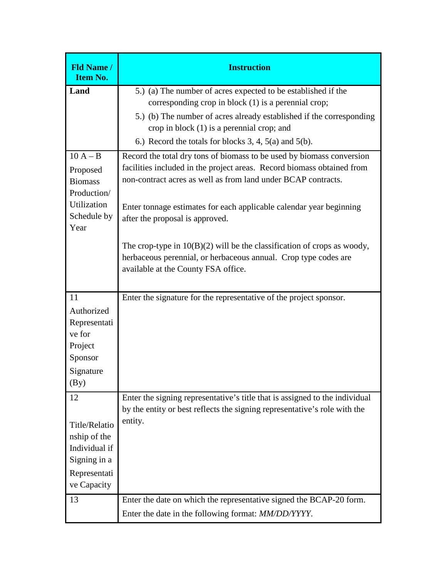| <b>Fld Name /</b><br><b>Item No.</b> | <b>Instruction</b>                                                          |
|--------------------------------------|-----------------------------------------------------------------------------|
| Land                                 | 5.) (a) The number of acres expected to be established if the               |
|                                      | corresponding crop in block $(1)$ is a perennial crop;                      |
|                                      | 5.) (b) The number of acres already established if the corresponding        |
|                                      | crop in block $(1)$ is a perennial crop; and                                |
|                                      | 6.) Record the totals for blocks 3, 4, 5(a) and 5(b).                       |
| $10 A - B$                           | Record the total dry tons of biomass to be used by biomass conversion       |
| Proposed                             | facilities included in the project areas. Record biomass obtained from      |
| <b>Biomass</b>                       | non-contract acres as well as from land under BCAP contracts.               |
| Production/                          |                                                                             |
| <b>Utilization</b>                   | Enter tonnage estimates for each applicable calendar year beginning         |
| Schedule by                          | after the proposal is approved.                                             |
| Year                                 |                                                                             |
|                                      | The crop-type in $10(B)(2)$ will be the classification of crops as woody,   |
|                                      | herbaceous perennial, or herbaceous annual. Crop type codes are             |
|                                      | available at the County FSA office.                                         |
|                                      |                                                                             |
| 11                                   | Enter the signature for the representative of the project sponsor.          |
| Authorized                           |                                                                             |
| Representati                         |                                                                             |
| ve for                               |                                                                             |
| Project                              |                                                                             |
| Sponsor                              |                                                                             |
| Signature                            |                                                                             |
| $\left(\frac{By}{B}\right)$          |                                                                             |
| 12                                   | Enter the signing representative's title that is assigned to the individual |
|                                      | by the entity or best reflects the signing representative's role with the   |
| Title/Relatio                        | entity.                                                                     |
| nship of the                         |                                                                             |
| Individual if                        |                                                                             |
| Signing in a                         |                                                                             |
| Representati                         |                                                                             |
| ve Capacity                          |                                                                             |
| 13                                   | Enter the date on which the representative signed the BCAP-20 form.         |
|                                      | Enter the date in the following format: MM/DD/YYYY.                         |